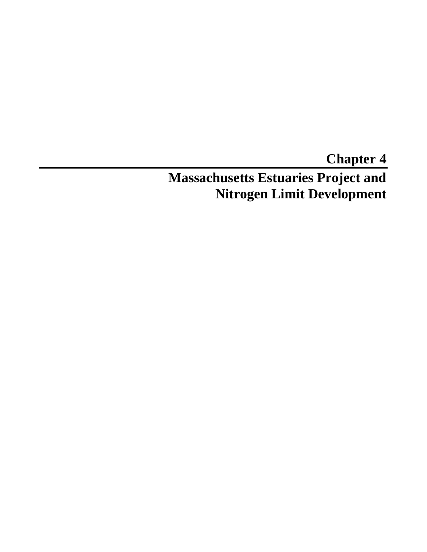# **Chapter 4 Massachusetts Estuaries Project and Nitrogen Limit Development**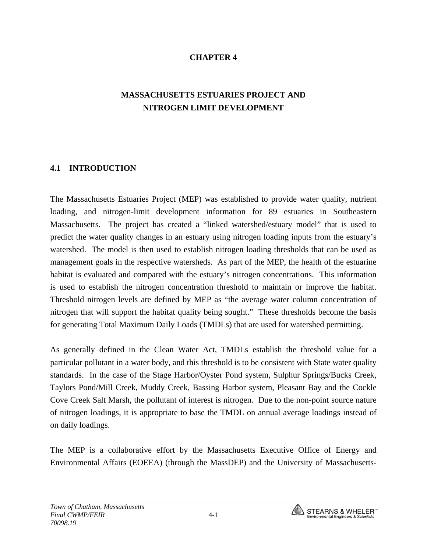### **CHAPTER 4**

# **MASSACHUSETTS ESTUARIES PROJECT AND NITROGEN LIMIT DEVELOPMENT**

#### **4.1 INTRODUCTION**

The Massachusetts Estuaries Project (MEP) was established to provide water quality, nutrient loading, and nitrogen-limit development information for 89 estuaries in Southeastern Massachusetts. The project has created a "linked watershed/estuary model" that is used to predict the water quality changes in an estuary using nitrogen loading inputs from the estuary's watershed. The model is then used to establish nitrogen loading thresholds that can be used as management goals in the respective watersheds. As part of the MEP, the health of the estuarine habitat is evaluated and compared with the estuary's nitrogen concentrations. This information is used to establish the nitrogen concentration threshold to maintain or improve the habitat. Threshold nitrogen levels are defined by MEP as "the average water column concentration of nitrogen that will support the habitat quality being sought." These thresholds become the basis for generating Total Maximum Daily Loads (TMDLs) that are used for watershed permitting.

As generally defined in the Clean Water Act, TMDLs establish the threshold value for a particular pollutant in a water body, and this threshold is to be consistent with State water quality standards. In the case of the Stage Harbor/Oyster Pond system, Sulphur Springs/Bucks Creek, Taylors Pond/Mill Creek, Muddy Creek, Bassing Harbor system, Pleasant Bay and the Cockle Cove Creek Salt Marsh, the pollutant of interest is nitrogen. Due to the non-point source nature of nitrogen loadings, it is appropriate to base the TMDL on annual average loadings instead of on daily loadings.

The MEP is a collaborative effort by the Massachusetts Executive Office of Energy and Environmental Affairs (EOEEA) (through the MassDEP) and the University of Massachusetts-

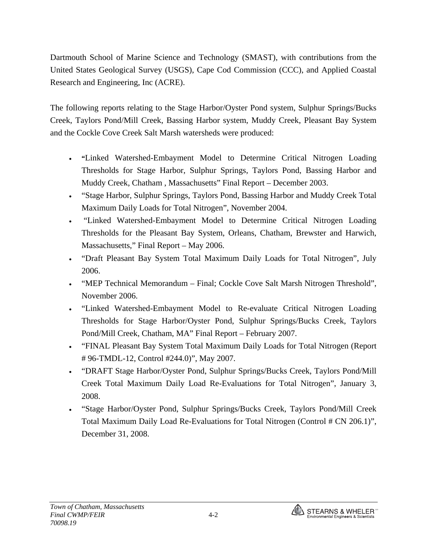Dartmouth School of Marine Science and Technology (SMAST), with contributions from the United States Geological Survey (USGS), Cape Cod Commission (CCC), and Applied Coastal Research and Engineering, Inc (ACRE).

The following reports relating to the Stage Harbor/Oyster Pond system, Sulphur Springs/Bucks Creek, Taylors Pond/Mill Creek, Bassing Harbor system, Muddy Creek, Pleasant Bay System and the Cockle Cove Creek Salt Marsh watersheds were produced:

- **"**Linked Watershed-Embayment Model to Determine Critical Nitrogen Loading Thresholds for Stage Harbor, Sulphur Springs, Taylors Pond, Bassing Harbor and Muddy Creek, Chatham , Massachusetts" Final Report – December 2003.
- "Stage Harbor, Sulphur Springs, Taylors Pond, Bassing Harbor and Muddy Creek Total Maximum Daily Loads for Total Nitrogen", November 2004.
- "Linked Watershed-Embayment Model to Determine Critical Nitrogen Loading Thresholds for the Pleasant Bay System, Orleans, Chatham, Brewster and Harwich, Massachusetts," Final Report – May 2006.
- "Draft Pleasant Bay System Total Maximum Daily Loads for Total Nitrogen", July 2006.
- "MEP Technical Memorandum Final; Cockle Cove Salt Marsh Nitrogen Threshold", November 2006.
- "Linked Watershed-Embayment Model to Re-evaluate Critical Nitrogen Loading Thresholds for Stage Harbor/Oyster Pond, Sulphur Springs/Bucks Creek, Taylors Pond/Mill Creek, Chatham, MA" Final Report – February 2007.
- "FINAL Pleasant Bay System Total Maximum Daily Loads for Total Nitrogen (Report # 96-TMDL-12, Control #244.0)", May 2007.
- "DRAFT Stage Harbor/Oyster Pond, Sulphur Springs/Bucks Creek, Taylors Pond/Mill Creek Total Maximum Daily Load Re-Evaluations for Total Nitrogen", January 3, 2008.
- "Stage Harbor/Oyster Pond, Sulphur Springs/Bucks Creek, Taylors Pond/Mill Creek Total Maximum Daily Load Re-Evaluations for Total Nitrogen (Control # CN 206.1)", December 31, 2008.

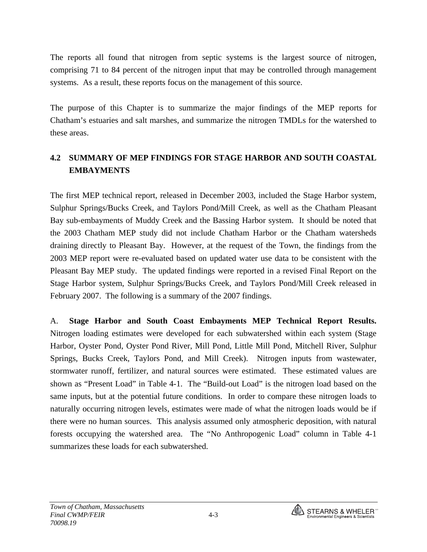The reports all found that nitrogen from septic systems is the largest source of nitrogen, comprising 71 to 84 percent of the nitrogen input that may be controlled through management systems. As a result, these reports focus on the management of this source.

The purpose of this Chapter is to summarize the major findings of the MEP reports for Chatham's estuaries and salt marshes, and summarize the nitrogen TMDLs for the watershed to these areas.

# **4.2 SUMMARY OF MEP FINDINGS FOR STAGE HARBOR AND SOUTH COASTAL EMBAYMENTS**

The first MEP technical report, released in December 2003, included the Stage Harbor system, Sulphur Springs/Bucks Creek, and Taylors Pond/Mill Creek, as well as the Chatham Pleasant Bay sub-embayments of Muddy Creek and the Bassing Harbor system. It should be noted that the 2003 Chatham MEP study did not include Chatham Harbor or the Chatham watersheds draining directly to Pleasant Bay. However, at the request of the Town, the findings from the 2003 MEP report were re-evaluated based on updated water use data to be consistent with the Pleasant Bay MEP study. The updated findings were reported in a revised Final Report on the Stage Harbor system, Sulphur Springs/Bucks Creek, and Taylors Pond/Mill Creek released in February 2007. The following is a summary of the 2007 findings.

A. **Stage Harbor and South Coast Embayments MEP Technical Report Results.**  Nitrogen loading estimates were developed for each subwatershed within each system (Stage Harbor, Oyster Pond, Oyster Pond River, Mill Pond, Little Mill Pond, Mitchell River, Sulphur Springs, Bucks Creek, Taylors Pond, and Mill Creek). Nitrogen inputs from wastewater, stormwater runoff, fertilizer, and natural sources were estimated. These estimated values are shown as "Present Load" in Table 4-1. The "Build-out Load" is the nitrogen load based on the same inputs, but at the potential future conditions. In order to compare these nitrogen loads to naturally occurring nitrogen levels, estimates were made of what the nitrogen loads would be if there were no human sources. This analysis assumed only atmospheric deposition, with natural forests occupying the watershed area. The "No Anthropogenic Load" column in Table 4-1 summarizes these loads for each subwatershed.

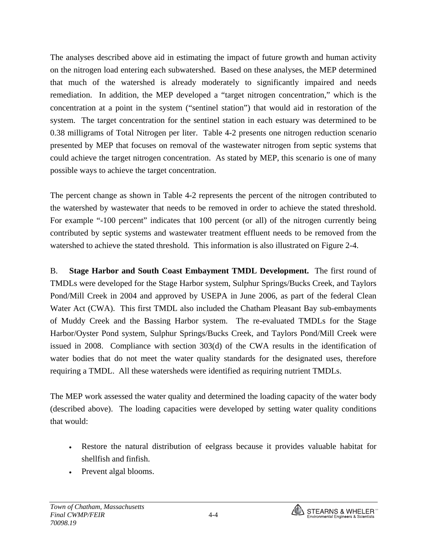The analyses described above aid in estimating the impact of future growth and human activity on the nitrogen load entering each subwatershed. Based on these analyses, the MEP determined that much of the watershed is already moderately to significantly impaired and needs remediation. In addition, the MEP developed a "target nitrogen concentration," which is the concentration at a point in the system ("sentinel station") that would aid in restoration of the system. The target concentration for the sentinel station in each estuary was determined to be 0.38 milligrams of Total Nitrogen per liter. Table 4-2 presents one nitrogen reduction scenario presented by MEP that focuses on removal of the wastewater nitrogen from septic systems that could achieve the target nitrogen concentration. As stated by MEP, this scenario is one of many possible ways to achieve the target concentration.

The percent change as shown in Table 4-2 represents the percent of the nitrogen contributed to the watershed by wastewater that needs to be removed in order to achieve the stated threshold. For example "-100 percent" indicates that 100 percent (or all) of the nitrogen currently being contributed by septic systems and wastewater treatment effluent needs to be removed from the watershed to achieve the stated threshold. This information is also illustrated on Figure 2-4.

B. **Stage Harbor and South Coast Embayment TMDL Development.** The first round of TMDLs were developed for the Stage Harbor system, Sulphur Springs/Bucks Creek, and Taylors Pond/Mill Creek in 2004 and approved by USEPA in June 2006, as part of the federal Clean Water Act (CWA). This first TMDL also included the Chatham Pleasant Bay sub-embayments of Muddy Creek and the Bassing Harbor system. The re-evaluated TMDLs for the Stage Harbor/Oyster Pond system, Sulphur Springs/Bucks Creek, and Taylors Pond/Mill Creek were issued in 2008. Compliance with section 303(d) of the CWA results in the identification of water bodies that do not meet the water quality standards for the designated uses, therefore requiring a TMDL. All these watersheds were identified as requiring nutrient TMDLs.

The MEP work assessed the water quality and determined the loading capacity of the water body (described above). The loading capacities were developed by setting water quality conditions that would:

- Restore the natural distribution of eelgrass because it provides valuable habitat for shellfish and finfish.
- Prevent algal blooms.

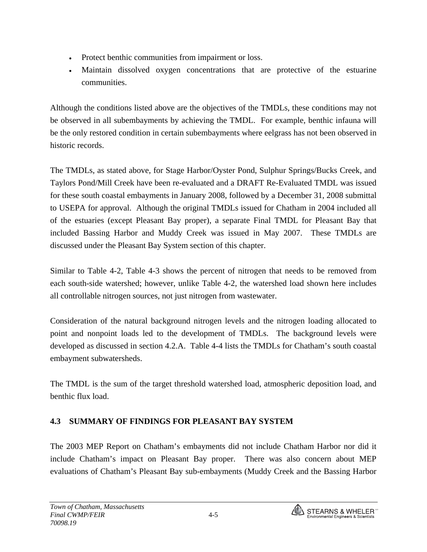- Protect benthic communities from impairment or loss.
- Maintain dissolved oxygen concentrations that are protective of the estuarine communities.

Although the conditions listed above are the objectives of the TMDLs, these conditions may not be observed in all subembayments by achieving the TMDL. For example, benthic infauna will be the only restored condition in certain subembayments where eelgrass has not been observed in historic records.

The TMDLs, as stated above, for Stage Harbor/Oyster Pond, Sulphur Springs/Bucks Creek, and Taylors Pond/Mill Creek have been re-evaluated and a DRAFT Re-Evaluated TMDL was issued for these south coastal embayments in January 2008, followed by a December 31, 2008 submittal to USEPA for approval. Although the original TMDLs issued for Chatham in 2004 included all of the estuaries (except Pleasant Bay proper), a separate Final TMDL for Pleasant Bay that included Bassing Harbor and Muddy Creek was issued in May 2007. These TMDLs are discussed under the Pleasant Bay System section of this chapter.

Similar to Table 4-2, Table 4-3 shows the percent of nitrogen that needs to be removed from each south-side watershed; however, unlike Table 4-2, the watershed load shown here includes all controllable nitrogen sources, not just nitrogen from wastewater.

Consideration of the natural background nitrogen levels and the nitrogen loading allocated to point and nonpoint loads led to the development of TMDLs. The background levels were developed as discussed in section 4.2.A. Table 4-4 lists the TMDLs for Chatham's south coastal embayment subwatersheds.

The TMDL is the sum of the target threshold watershed load, atmospheric deposition load, and benthic flux load.

## **4.3 SUMMARY OF FINDINGS FOR PLEASANT BAY SYSTEM**

The 2003 MEP Report on Chatham's embayments did not include Chatham Harbor nor did it include Chatham's impact on Pleasant Bay proper. There was also concern about MEP evaluations of Chatham's Pleasant Bay sub-embayments (Muddy Creek and the Bassing Harbor

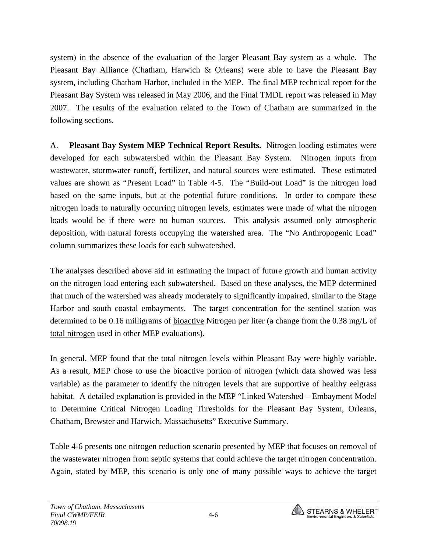system) in the absence of the evaluation of the larger Pleasant Bay system as a whole. The Pleasant Bay Alliance (Chatham, Harwich & Orleans) were able to have the Pleasant Bay system, including Chatham Harbor, included in the MEP. The final MEP technical report for the Pleasant Bay System was released in May 2006, and the Final TMDL report was released in May 2007. The results of the evaluation related to the Town of Chatham are summarized in the following sections.

A. **Pleasant Bay System MEP Technical Report Results.** Nitrogen loading estimates were developed for each subwatershed within the Pleasant Bay System. Nitrogen inputs from wastewater, stormwater runoff, fertilizer, and natural sources were estimated. These estimated values are shown as "Present Load" in Table 4-5. The "Build-out Load" is the nitrogen load based on the same inputs, but at the potential future conditions. In order to compare these nitrogen loads to naturally occurring nitrogen levels, estimates were made of what the nitrogen loads would be if there were no human sources. This analysis assumed only atmospheric deposition, with natural forests occupying the watershed area. The "No Anthropogenic Load" column summarizes these loads for each subwatershed.

The analyses described above aid in estimating the impact of future growth and human activity on the nitrogen load entering each subwatershed. Based on these analyses, the MEP determined that much of the watershed was already moderately to significantly impaired, similar to the Stage Harbor and south coastal embayments. The target concentration for the sentinel station was determined to be 0.16 milligrams of bioactive Nitrogen per liter (a change from the 0.38 mg/L of total nitrogen used in other MEP evaluations).

In general, MEP found that the total nitrogen levels within Pleasant Bay were highly variable. As a result, MEP chose to use the bioactive portion of nitrogen (which data showed was less variable) as the parameter to identify the nitrogen levels that are supportive of healthy eelgrass habitat. A detailed explanation is provided in the MEP "Linked Watershed – Embayment Model to Determine Critical Nitrogen Loading Thresholds for the Pleasant Bay System, Orleans, Chatham, Brewster and Harwich, Massachusetts" Executive Summary.

Table 4-6 presents one nitrogen reduction scenario presented by MEP that focuses on removal of the wastewater nitrogen from septic systems that could achieve the target nitrogen concentration. Again, stated by MEP, this scenario is only one of many possible ways to achieve the target

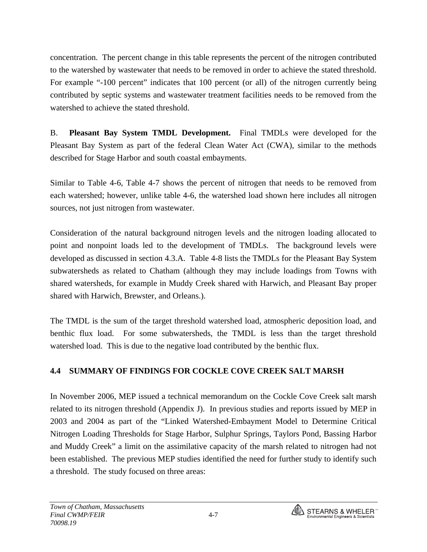concentration. The percent change in this table represents the percent of the nitrogen contributed to the watershed by wastewater that needs to be removed in order to achieve the stated threshold. For example "-100 percent" indicates that 100 percent (or all) of the nitrogen currently being contributed by septic systems and wastewater treatment facilities needs to be removed from the watershed to achieve the stated threshold.

B. **Pleasant Bay System TMDL Development.** Final TMDLs were developed for the Pleasant Bay System as part of the federal Clean Water Act (CWA), similar to the methods described for Stage Harbor and south coastal embayments.

Similar to Table 4-6, Table 4-7 shows the percent of nitrogen that needs to be removed from each watershed; however, unlike table 4-6, the watershed load shown here includes all nitrogen sources, not just nitrogen from wastewater.

Consideration of the natural background nitrogen levels and the nitrogen loading allocated to point and nonpoint loads led to the development of TMDLs. The background levels were developed as discussed in section 4.3.A. Table 4-8 lists the TMDLs for the Pleasant Bay System subwatersheds as related to Chatham (although they may include loadings from Towns with shared watersheds, for example in Muddy Creek shared with Harwich, and Pleasant Bay proper shared with Harwich, Brewster, and Orleans.).

The TMDL is the sum of the target threshold watershed load, atmospheric deposition load, and benthic flux load. For some subwatersheds, the TMDL is less than the target threshold watershed load. This is due to the negative load contributed by the benthic flux.

## **4.4 SUMMARY OF FINDINGS FOR COCKLE COVE CREEK SALT MARSH**

In November 2006, MEP issued a technical memorandum on the Cockle Cove Creek salt marsh related to its nitrogen threshold (Appendix J). In previous studies and reports issued by MEP in 2003 and 2004 as part of the "Linked Watershed-Embayment Model to Determine Critical Nitrogen Loading Thresholds for Stage Harbor, Sulphur Springs, Taylors Pond, Bassing Harbor and Muddy Creek" a limit on the assimilative capacity of the marsh related to nitrogen had not been established. The previous MEP studies identified the need for further study to identify such a threshold. The study focused on three areas:

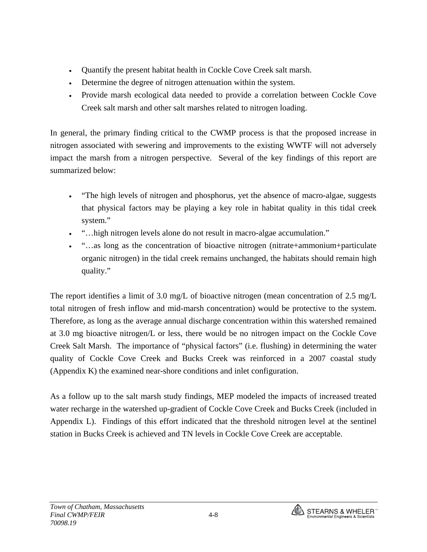- Quantify the present habitat health in Cockle Cove Creek salt marsh.
- Determine the degree of nitrogen attenuation within the system.
- Provide marsh ecological data needed to provide a correlation between Cockle Cove Creek salt marsh and other salt marshes related to nitrogen loading.

In general, the primary finding critical to the CWMP process is that the proposed increase in nitrogen associated with sewering and improvements to the existing WWTF will not adversely impact the marsh from a nitrogen perspective. Several of the key findings of this report are summarized below:

- "The high levels of nitrogen and phosphorus, yet the absence of macro-algae, suggests that physical factors may be playing a key role in habitat quality in this tidal creek system."
- "…high nitrogen levels alone do not result in macro-algae accumulation."
- "…as long as the concentration of bioactive nitrogen (nitrate+ammonium+particulate organic nitrogen) in the tidal creek remains unchanged, the habitats should remain high quality."

The report identifies a limit of 3.0 mg/L of bioactive nitrogen (mean concentration of 2.5 mg/L total nitrogen of fresh inflow and mid-marsh concentration) would be protective to the system. Therefore, as long as the average annual discharge concentration within this watershed remained at 3.0 mg bioactive nitrogen/L or less, there would be no nitrogen impact on the Cockle Cove Creek Salt Marsh. The importance of "physical factors" (i.e. flushing) in determining the water quality of Cockle Cove Creek and Bucks Creek was reinforced in a 2007 coastal study (Appendix K) the examined near-shore conditions and inlet configuration.

As a follow up to the salt marsh study findings, MEP modeled the impacts of increased treated water recharge in the watershed up-gradient of Cockle Cove Creek and Bucks Creek (included in Appendix L). Findings of this effort indicated that the threshold nitrogen level at the sentinel station in Bucks Creek is achieved and TN levels in Cockle Cove Creek are acceptable.